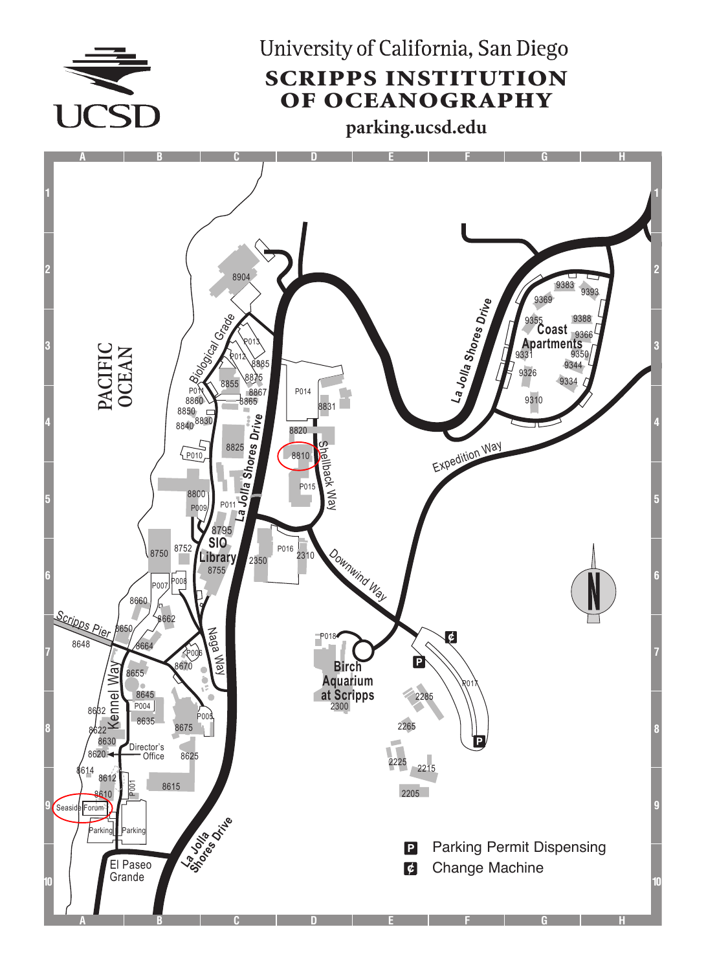

University of California, San Diego SCRIPPS INSTITUTION OF OCEANOGRAPHY

**parking.ucsd.edu**